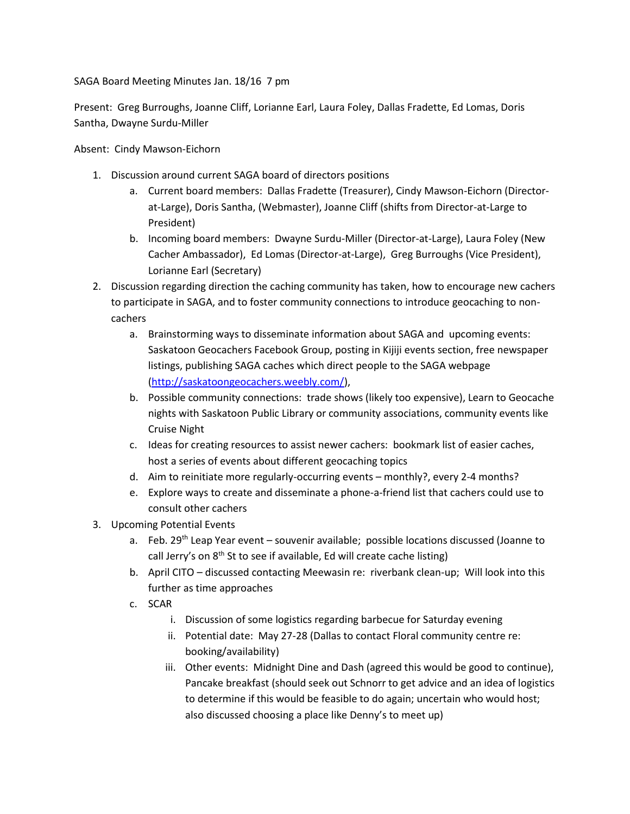SAGA Board Meeting Minutes Jan. 18/16 7 pm

Present: Greg Burroughs, Joanne Cliff, Lorianne Earl, Laura Foley, Dallas Fradette, Ed Lomas, Doris Santha, Dwayne Surdu-Miller

Absent: Cindy Mawson-Eichorn

- 1. Discussion around current SAGA board of directors positions
	- a. Current board members: Dallas Fradette (Treasurer), Cindy Mawson-Eichorn (Directorat-Large), Doris Santha, (Webmaster), Joanne Cliff (shifts from Director-at-Large to President)
	- b. Incoming board members: Dwayne Surdu-Miller (Director-at-Large), Laura Foley (New Cacher Ambassador), Ed Lomas (Director-at-Large), Greg Burroughs (Vice President), Lorianne Earl (Secretary)
- 2. Discussion regarding direction the caching community has taken, how to encourage new cachers to participate in SAGA, and to foster community connections to introduce geocaching to noncachers
	- a. Brainstorming ways to disseminate information about SAGA and upcoming events: Saskatoon Geocachers Facebook Group, posting in Kijiji events section, free newspaper listings, publishing SAGA caches which direct people to the SAGA webpage [\(http://saskatoongeocachers.weebly.com/\)](http://saskatoongeocachers.weebly.com/),
	- b. Possible community connections: trade shows (likely too expensive), Learn to Geocache nights with Saskatoon Public Library or community associations, community events like Cruise Night
	- c. Ideas for creating resources to assist newer cachers: bookmark list of easier caches, host a series of events about different geocaching topics
	- d. Aim to reinitiate more regularly-occurring events monthly?, every 2-4 months?
	- e. Explore ways to create and disseminate a phone-a-friend list that cachers could use to consult other cachers
- 3. Upcoming Potential Events
	- a. Feb. 29<sup>th</sup> Leap Year event souvenir available; possible locations discussed (Joanne to call Jerry's on  $8<sup>th</sup>$  St to see if available, Ed will create cache listing)
	- b. April CITO discussed contacting Meewasin re: riverbank clean-up; Will look into this further as time approaches
	- c. SCAR
		- i. Discussion of some logistics regarding barbecue for Saturday evening
		- ii. Potential date: May 27-28 (Dallas to contact Floral community centre re: booking/availability)
		- iii. Other events: Midnight Dine and Dash (agreed this would be good to continue), Pancake breakfast (should seek out Schnorr to get advice and an idea of logistics to determine if this would be feasible to do again; uncertain who would host; also discussed choosing a place like Denny's to meet up)